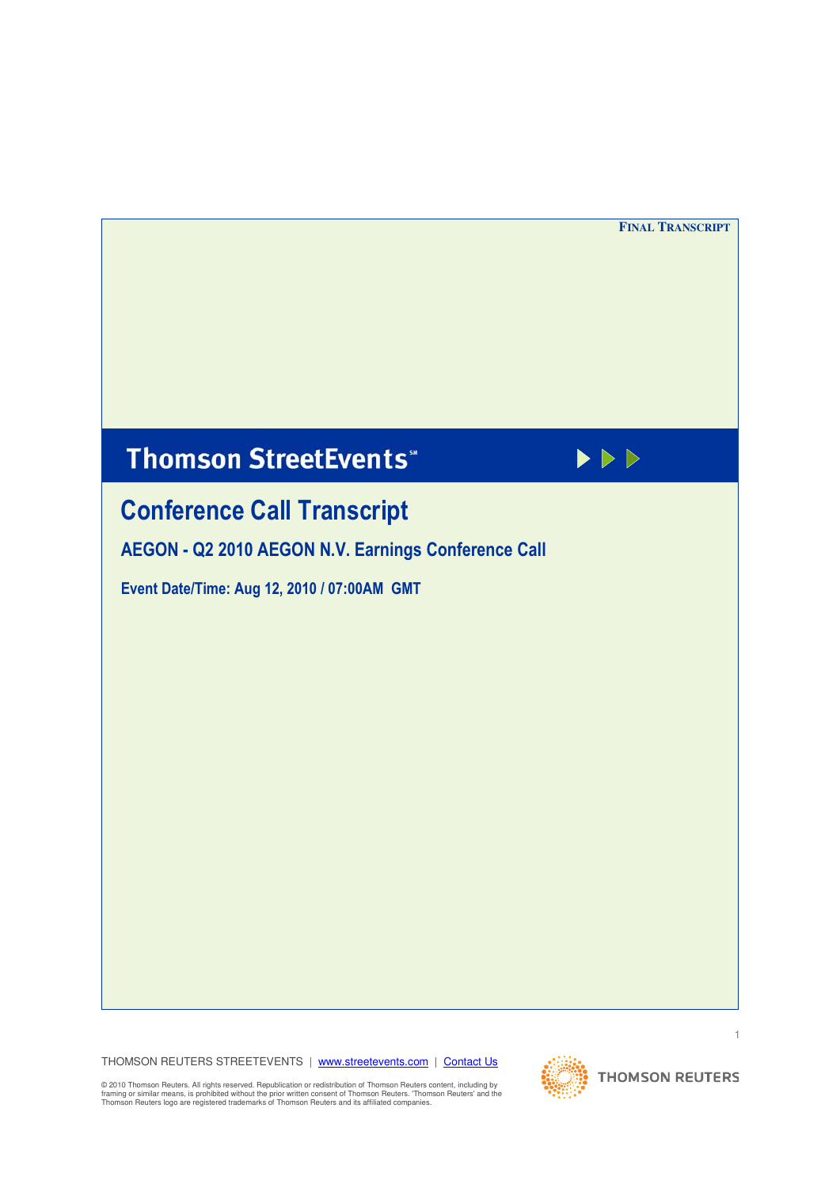**FINAL TRANSCRIPT** 

# **Thomson StreetEvents**"



# **Conference Call Transcript**

AEGON - Q2 2010 AEGON N.V. Earnings Conference Call

Event Date/Time: Aug 12, 2010 / 07:00AM GMT

THOMSON REUTERS STREETEVENTS | www.streetevents.com | Contact Us

@ 2010 Thomson Reuters. All rights reserved. Republication or redistribution of Thomson Reuters content, including by<br>framing or similar means, is prohibited without the prior written consent of Thomson Reuters. 'Thomson R

 $\overline{1}$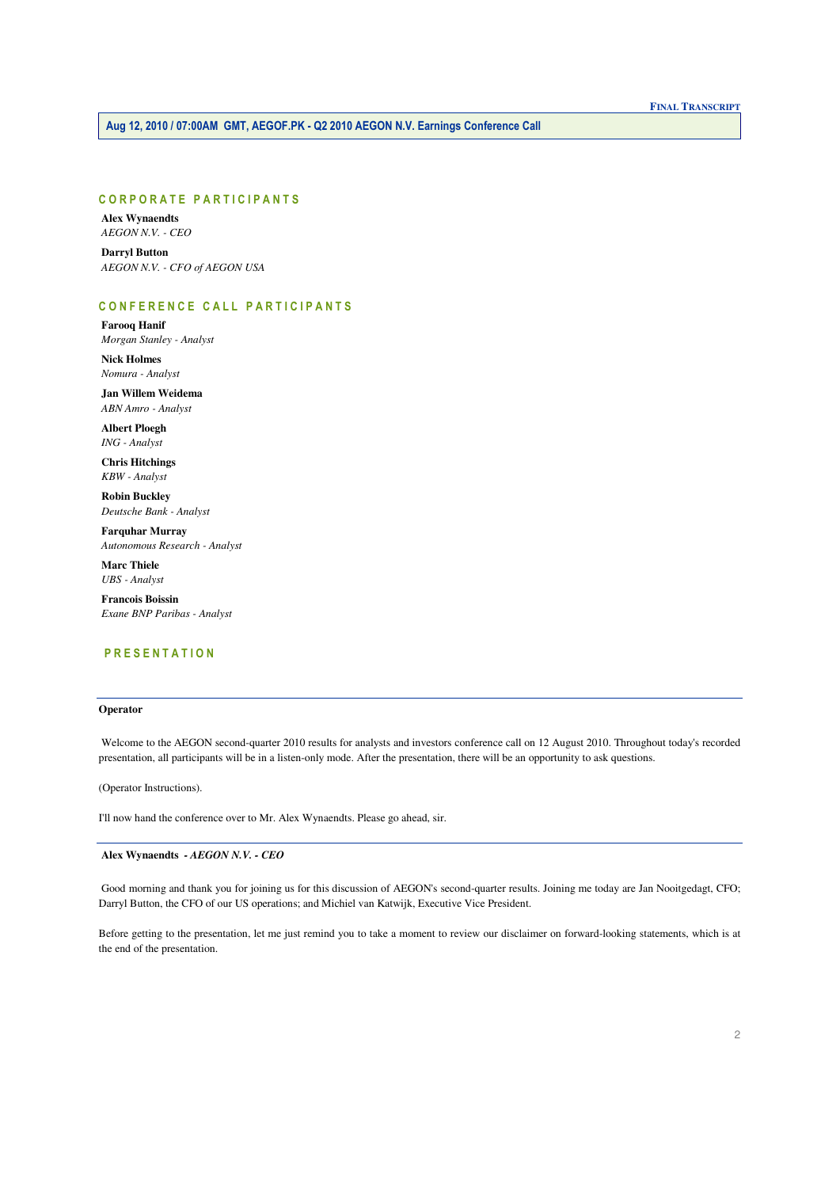# **CORPORATE PARTICIPANTS**

**Alex Wynaendts**  $AEGON$  N.V. -  $CEO$ 

**Darryl Button** AEGON N.V. - CFO of AEGON USA

# CONFERENCE CALL PARTICIPANTS

**Farooq Hanif** Morgan Stanley - Analyst

**Nick Holmes** Nomura - Analyst

Jan Willem Weidema ABN Amro - Analyst

**Albert Ploegh** ING - Analyst

**Chris Hitchings KBW** - Analyst

**Robin Buckley** Deutsche Bank - Analyst

**Farquhar Murray** Autonomous Research - Analyst

**Marc Thiele UBS** - Analyst

**Francois Boissin** Exane BNP Paribas - Analyst

# **PRESENTATION**

# Operator

Welcome to the AEGON second-quarter 2010 results for analysts and investors conference call on 12 August 2010. Throughout today's recorded presentation, all participants will be in a listen-only mode. After the presentation, there will be an opportunity to ask questions.

(Operator Instructions).

I'll now hand the conference over to Mr. Alex Wynaendts. Please go ahead, sir.

Alex Wynaendts - AEGON N.V. - CEO

Good morning and thank you for joining us for this discussion of AEGON's second-quarter results. Joining me today are Jan Nooitgedagt, CFO; Darryl Button, the CFO of our US operations; and Michiel van Katwijk, Executive Vice President.

Before getting to the presentation, let me just remind you to take a moment to review our disclaimer on forward-looking statements, which is at the end of the presentation.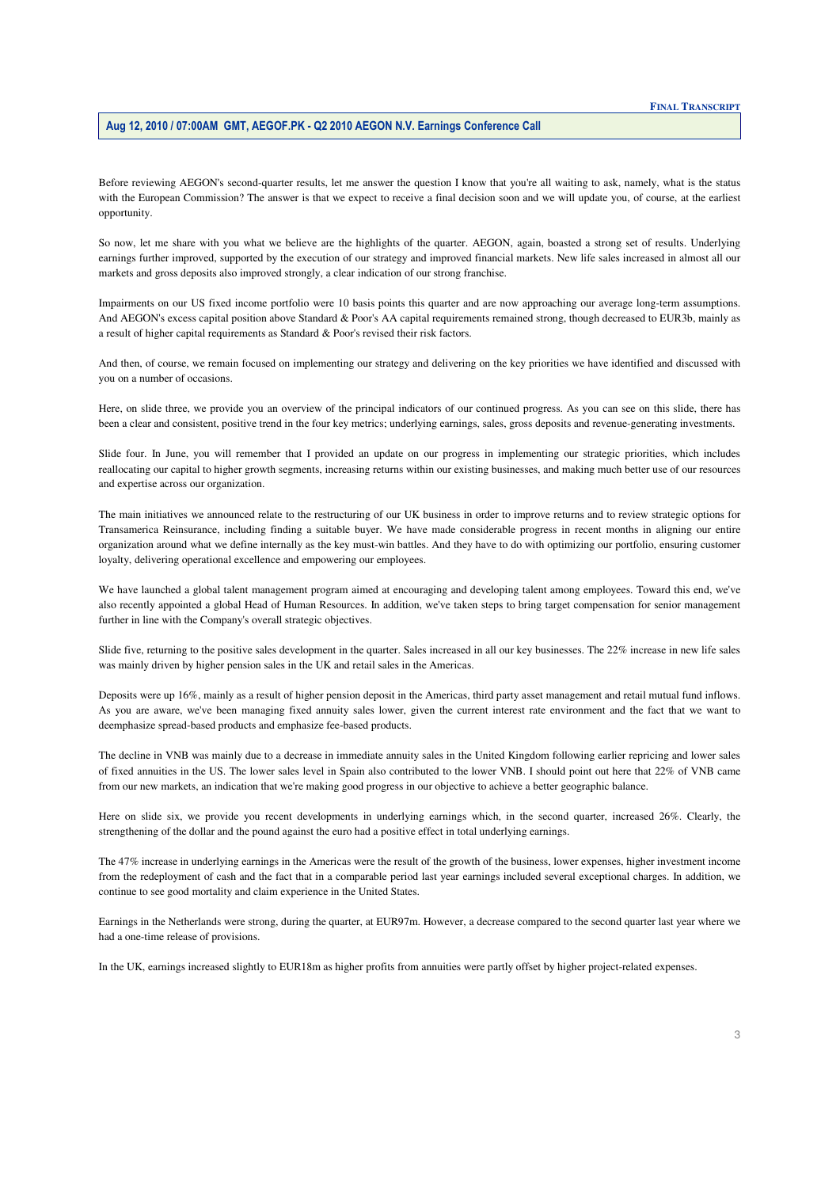Before reviewing AEGON's second-quarter results, let me answer the question I know that you're all waiting to ask, namely, what is the status with the European Commission? The answer is that we expect to receive a final decision soon and we will update you, of course, at the earliest opportunity.

 So now, let me share with you what we believe are the highlights of the quarter. AEGON, again, boasted a strong set of results. Underlying earnings further improved, supported by the execution of our strategy and improved financial markets. New life sales increased in almost all our markets and gross deposits also improved strongly, a clear indication of our strong franchise.

 Impairments on our US fixed income portfolio were 10 basis points this quarter and are now approaching our average long-term assumptions. And AEGON's excess capital position above Standard & Poor's AA capital requirements remained strong, though decreased to EUR3b, mainly as a result of higher capital requirements as Standard & Poor's revised their risk factors.

And then, of course, we remain focused on implementing our strategy and delivering on the key priorities we have identified and discussed with you on a number of occasions.

Here, on slide three, we provide you an overview of the principal indicators of our continued progress. As you can see on this slide, there has been a clear and consistent, positive trend in the four key metrics; underlying earnings, sales, gross deposits and revenue-generating investments.

Slide four. In June, you will remember that I provided an update on our progress in implementing our strategic priorities, which includes reallocating our capital to higher growth segments, increasing returns within our existing businesses, and making much better use of our resources and expertise across our organization.

 Transamerica Reinsurance, including finding a suitable buyer. We have made considerable progress in recent months in aligning our entire organization around what we define internally as the key must-win battles. And they have to do with optimizing our portfolio, ensuring customer The main initiatives we announced relate to the restructuring of our UK business in order to improve returns and to review strategic options for loyalty, delivering operational excellence and empowering our employees.

 also recently appointed a global Head of Human Resources. In addition, we've taken steps to bring target compensation for senior management We have launched a global talent management program aimed at encouraging and developing talent among employees. Toward this end, we've further in line with the Company's overall strategic objectives.

 Slide five, returning to the positive sales development in the quarter. Sales increased in all our key businesses. The 22% increase in new life sales was mainly driven by higher pension sales in the UK and retail sales in the Americas.

 As you are aware, we've been managing fixed annuity sales lower, given the current interest rate environment and the fact that we want to Deposits were up 16%, mainly as a result of higher pension deposit in the Americas, third party asset management and retail mutual fund inflows. deemphasize spread-based products and emphasize fee-based products.

 from our new markets, an indication that we're making good progress in our objective to achieve a better geographic balance. The decline in VNB was mainly due to a decrease in immediate annuity sales in the United Kingdom following earlier repricing and lower sales of fixed annuities in the US. The lower sales level in Spain also contributed to the lower VNB. I should point out here that 22% of VNB came

 strengthening of the dollar and the pound against the euro had a positive effect in total underlying earnings. Here on slide six, we provide you recent developments in underlying earnings which, in the second quarter, increased 26%. Clearly, the

 from the redeployment of cash and the fact that in a comparable period last year earnings included several exceptional charges. In addition, we The 47% increase in underlying earnings in the Americas were the result of the growth of the business, lower expenses, higher investment income continue to see good mortality and claim experience in the United States.

 Earnings in the Netherlands were strong, during the quarter, at EUR97m. However, a decrease compared to the second quarter last year where we had a one-time release of provisions.

In the UK, earnings increased slightly to EUR18m as higher profits from annuities were partly offset by higher project-related expenses.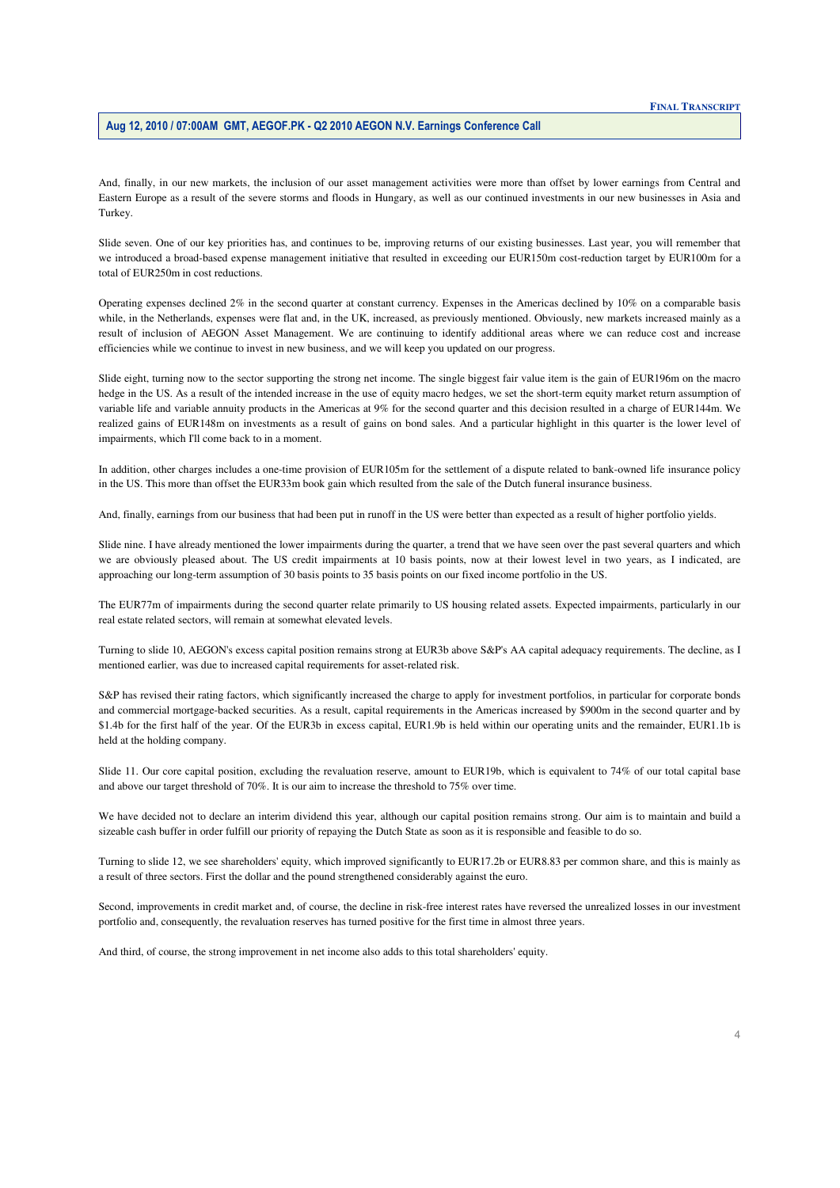And, finally, in our new markets, the inclusion of our asset management activities were more than offset by lower earnings from Central and Eastern Europe as a result of the severe storms and floods in Hungary, as well as our continued investments in our new businesses in Asia and Turkey.

 we introduced a broad-based expense management initiative that resulted in exceeding our EUR150m cost-reduction target by EUR100m for a Slide seven. One of our key priorities has, and continues to be, improving returns of our existing businesses. Last year, you will remember that total of EUR250m in cost reductions.

 Operating expenses declined 2% in the second quarter at constant currency. Expenses in the Americas declined by 10% on a comparable basis while, in the Netherlands, expenses were flat and, in the UK, increased, as previously mentioned. Obviously, new markets increased mainly as a efficiencies while we continue to invest in new business, and we will keep you updated on our progress. result of inclusion of AEGON Asset Management. We are continuing to identify additional areas where we can reduce cost and increase

 hedge in the US. As a result of the intended increase in the use of equity macro hedges, we set the short-term equity market return assumption of variable life and variable annuity products in the Americas at 9% for the second quarter and this decision resulted in a charge of EUR144m. We realized gains of EUR148m on investments as a result of gains on bond sales. And a particular highlight in this quarter is the lower level of impairments, which I'll come back to in a moment. Slide eight, turning now to the sector supporting the strong net income. The single biggest fair value item is the gain of EUR196m on the macro

In addition, other charges includes a one-time provision of EUR105m for the settlement of a dispute related to bank-owned life insurance policy in the US. This more than offset the EUR33m book gain which resulted from the sale of the Dutch funeral insurance business.

And, finally, earnings from our business that had been put in runoff in the US were better than expected as a result of higher portfolio yields.

 we are obviously pleased about. The US credit impairments at 10 basis points, now at their lowest level in two years, as I indicated, are approaching our long-term assumption of 30 basis points to 35 basis points on our fixed income portfolio in the US. Slide nine. I have already mentioned the lower impairments during the quarter, a trend that we have seen over the past several quarters and which

 The EUR77m of impairments during the second quarter relate primarily to US housing related assets. Expected impairments, particularly in our real estate related sectors, will remain at somewhat elevated levels.

Turning to slide 10, AEGON's excess capital position remains strong at EUR3b above S&P's AA capital adequacy requirements. The decline, as I mentioned earlier, was due to increased capital requirements for asset-related risk.

S&P has revised their rating factors, which significantly increased the charge to apply for investment portfolios, in particular for corporate bonds and commercial mortgage-backed securities. As a result, capital requirements in the Americas increased by \$900m in the second quarter and by \$1.4b for the first half of the year. Of the EUR3b in excess capital, EUR1.9b is held within our operating units and the remainder, EUR1.1b is held at the holding company.

 Slide 11. Our core capital position, excluding the revaluation reserve, amount to EUR19b, which is equivalent to 74% of our total capital base and above our target threshold of 70%. It is our aim to increase the threshold to 75% over time.

 We have decided not to declare an interim dividend this year, although our capital position remains strong. Our aim is to maintain and build a sizeable cash buffer in order fulfill our priority of repaying the Dutch State as soon as it is responsible and feasible to do so.

Turning to slide 12, we see shareholders' equity, which improved significantly to EUR17.2b or EUR8.83 per common share, and this is mainly as a result of three sectors. First the dollar and the pound strengthened considerably against the euro.

 portfolio and, consequently, the revaluation reserves has turned positive for the first time in almost three years. Second, improvements in credit market and, of course, the decline in risk-free interest rates have reversed the unrealized losses in our investment

And third, of course, the strong improvement in net income also adds to this total shareholders' equity.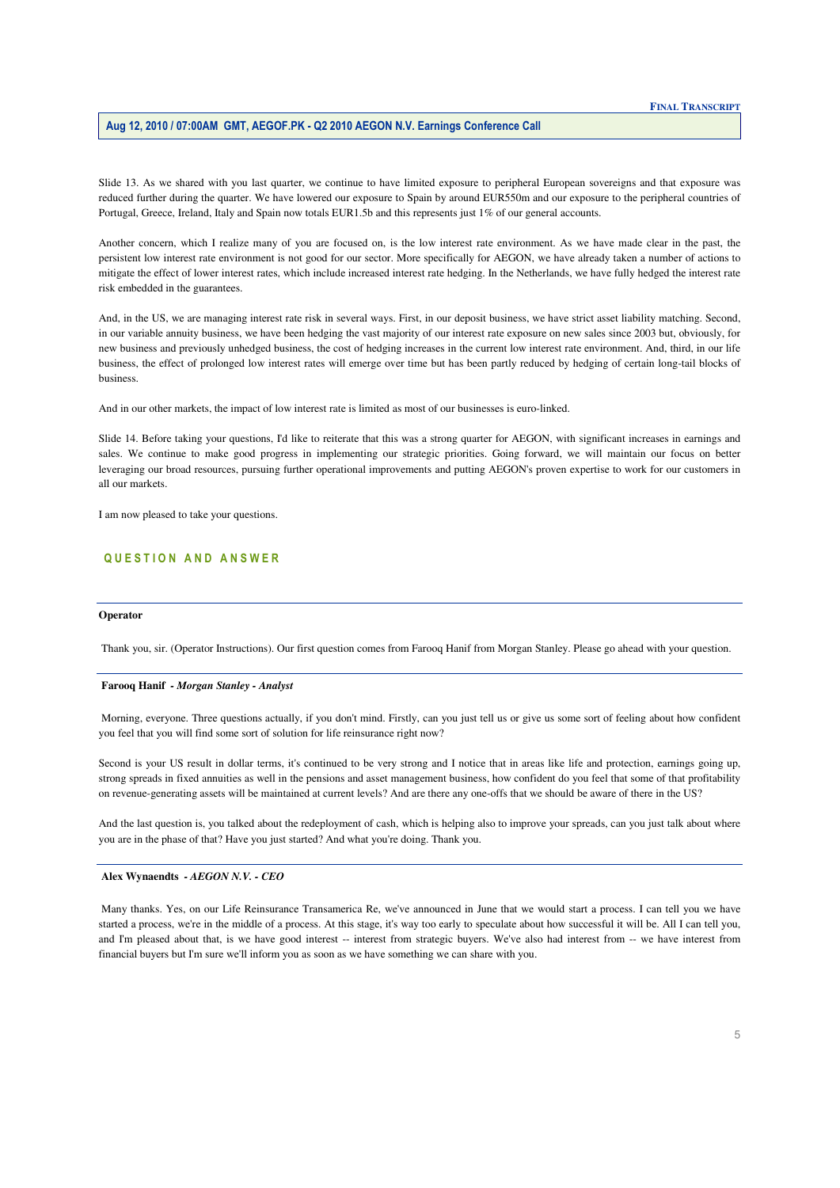reduced further during the quarter. We have lowered our exposure to Spain by around EUR550m and our exposure to the peripheral countries of Slide 13. As we shared with you last quarter, we continue to have limited exposure to peripheral European sovereigns and that exposure was Portugal, Greece, Ireland, Italy and Spain now totals EUR1.5b and this represents just 1% of our general accounts.

 persistent low interest rate environment is not good for our sector. More specifically for AEGON, we have already taken a number of actions to Another concern, which I realize many of you are focused on, is the low interest rate environment. As we have made clear in the past, the mitigate the effect of lower interest rates, which include increased interest rate hedging. In the Netherlands, we have fully hedged the interest rate risk embedded in the guarantees.

 new business and previously unhedged business, the cost of hedging increases in the current low interest rate environment. And, third, in our life And, in the US, we are managing interest rate risk in several ways. First, in our deposit business, we have strict asset liability matching. Second, in our variable annuity business, we have been hedging the vast majority of our interest rate exposure on new sales since 2003 but, obviously, for business, the effect of prolonged low interest rates will emerge over time but has been partly reduced by hedging of certain long-tail blocks of business.

And in our other markets, the impact of low interest rate is limited as most of our businesses is euro-linked.

Slide 14. Before taking your questions, I'd like to reiterate that this was a strong quarter for AEGON, with significant increases in earnings and sales. We continue to make good progress in implementing our strategic priorities. Going forward, we will maintain our focus on better leveraging our broad resources, pursuing further operational improvements and putting AEGON's proven expertise to work for our customers in all our markets.

I am now pleased to take your questions.

# QUESTION AND ANSWER

# **Operator**

Thank you, sir. (Operator Instructions). Our first question comes from Farooq Hanif from Morgan Stanley. Please go ahead with your question.

# **Farooq Hanif** *- Morgan Stanley - Analyst*

 you feel that you will find some sort of solution for life reinsurance right now? Morning, everyone. Three questions actually, if you don't mind. Firstly, can you just tell us or give us some sort of feeling about how confident

 on revenue-generating assets will be maintained at current levels? And are there any one-offs that we should be aware of there in the US? Second is your US result in dollar terms, it's continued to be very strong and I notice that in areas like life and protection, earnings going up, strong spreads in fixed annuities as well in the pensions and asset management business, how confident do you feel that some of that profitability

And the last question is, you talked about the redeployment of cash, which is helping also to improve your spreads, can you just talk about where you are in the phase of that? Have you just started? And what you're doing. Thank you.

#### **Alex Wynaendts** *- AEGON N.V. - CEO*

Many thanks. Yes, on our Life Reinsurance Transamerica Re, we've announced in June that we would start a process. I can tell you we have started a process, we're in the middle of a process. At this stage, it's way too early to speculate about how successful it will be. All I can tell you, and I'm pleased about that, is we have good interest -- interest from strategic buyers. We've also had interest from -- we have interest from financial buyers but I'm sure we'll inform you as soon as we have something we can share with you.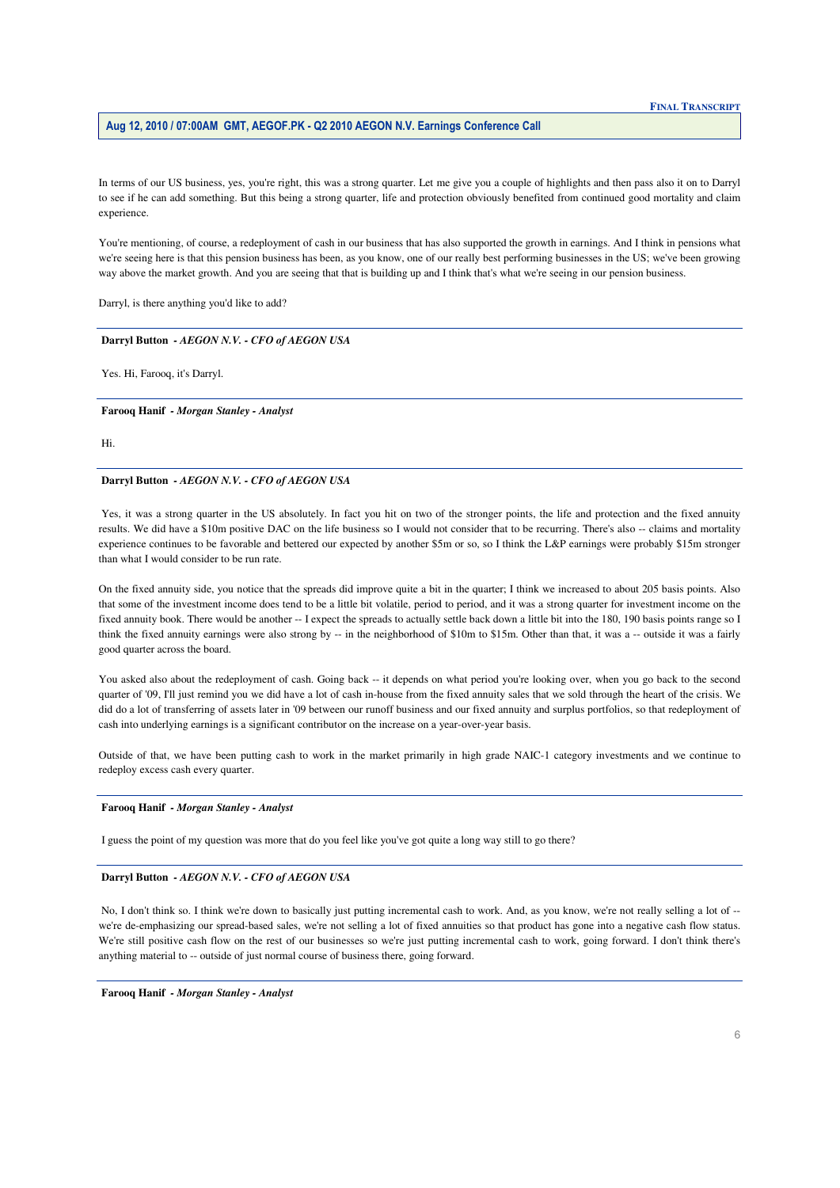In terms of our US business, yes, you're right, this was a strong quarter. Let me give you a couple of highlights and then pass also it on to Darryl to see if he can add something. But this being a strong quarter, life and protection obviously benefited from continued good mortality and claim experience.

 way above the market growth. And you are seeing that that is building up and I think that's what we're seeing in our pension business. You're mentioning, of course, a redeployment of cash in our business that has also supported the growth in earnings. And I think in pensions what we're seeing here is that this pension business has been, as you know, one of our really best performing businesses in the US; we've been growing

Darryl, is there anything you'd like to add?

## **Darryl Button** *- AEGON N.V. - CFO of AEGON USA*

Yes. Hi, Farooq, it's Darryl.

 **Farooq Hanif** *- Morgan Stanley - Analyst* 

Hi.

## **Darryl Button** *- AEGON N.V. - CFO of AEGON USA*

 results. We did have a \$10m positive DAC on the life business so I would not consider that to be recurring. There's also -- claims and mortality experience continues to be favorable and bettered our expected by another \$5m or so, so I think the L&P earnings were probably \$15m stronger than what I would consider to be run rate. Yes, it was a strong quarter in the US absolutely. In fact you hit on two of the stronger points, the life and protection and the fixed annuity

 that some of the investment income does tend to be a little bit volatile, period to period, and it was a strong quarter for investment income on the fixed annuity book. There would be another -- I expect the spreads to actually settle back down a little bit into the 180, 190 basis points range so I think the fixed annuity earnings were also strong by -- in the neighborhood of \$10m to \$15m. Other than that, it was a -- outside it was a fairly On the fixed annuity side, you notice that the spreads did improve quite a bit in the quarter; I think we increased to about 205 basis points. Also good quarter across the board.

 You asked also about the redeployment of cash. Going back -- it depends on what period you're looking over, when you go back to the second cash into underlying earnings is a significant contributor on the increase on a year-over-year basis. quarter of '09, I'll just remind you we did have a lot of cash in-house from the fixed annuity sales that we sold through the heart of the crisis. We did do a lot of transferring of assets later in '09 between our runoff business and our fixed annuity and surplus portfolios, so that redeployment of

Outside of that, we have been putting cash to work in the market primarily in high grade NAIC-1 category investments and we continue to redeploy excess cash every quarter.

# **Farooq Hanif** *- Morgan Stanley - Analyst*

I guess the point of my question was more that do you feel like you've got quite a long way still to go there?

## **Darryl Button** *- AEGON N.V. - CFO of AEGON USA*

 we're de-emphasizing our spread-based sales, we're not selling a lot of fixed annuities so that product has gone into a negative cash flow status. No, I don't think so. I think we're down to basically just putting incremental cash to work. And, as you know, we're not really selling a lot of --We're still positive cash flow on the rest of our businesses so we're just putting incremental cash to work, going forward. I don't think there's anything material to -- outside of just normal course of business there, going forward.

 **Farooq Hanif** *- Morgan Stanley - Analyst*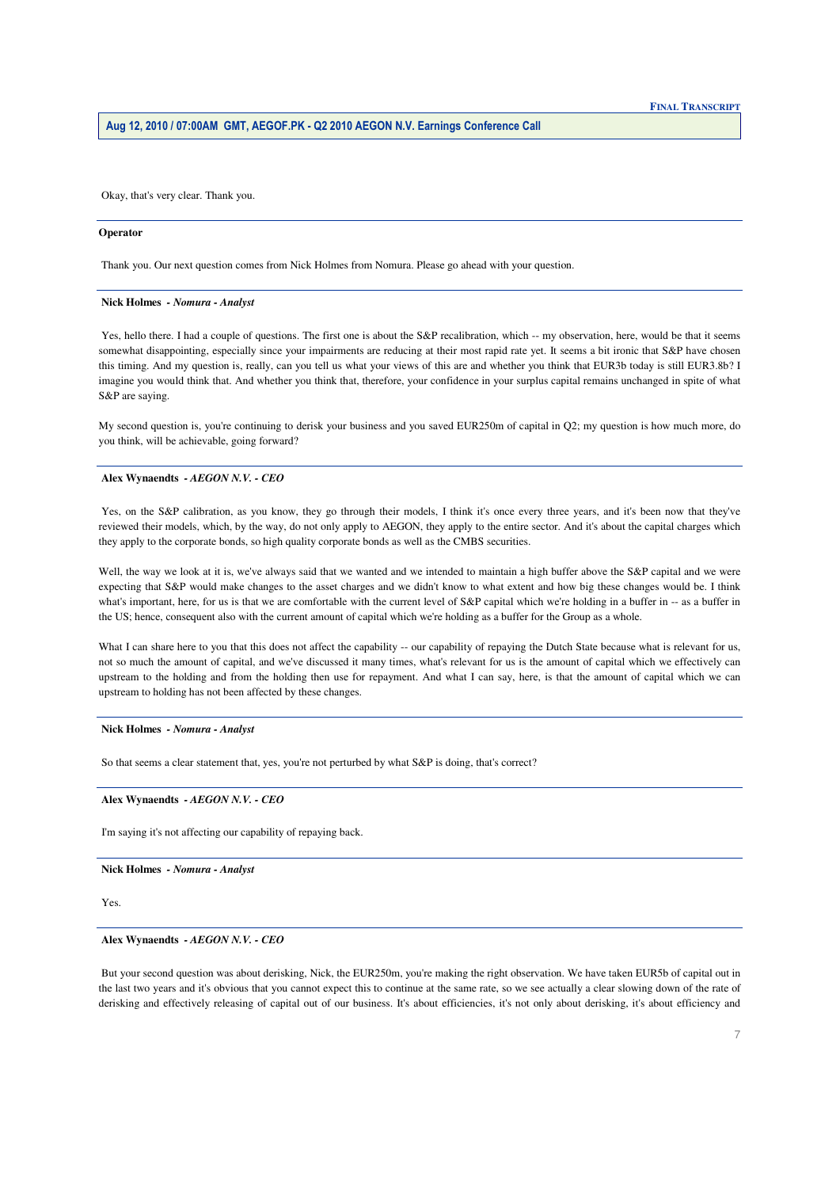Okay, that's very clear. Thank you.

#### **Operator**

Thank you. Our next question comes from Nick Holmes from Nomura. Please go ahead with your question.

#### **Nick Holmes** *- Nomura - Analyst*

 this timing. And my question is, really, can you tell us what your views of this are and whether you think that EUR3b today is still EUR3.8b? I imagine you would think that. And whether you think that, therefore, your confidence in your surplus capital remains unchanged in spite of what Yes, hello there. I had a couple of questions. The first one is about the S&P recalibration, which -- my observation, here, would be that it seems somewhat disappointing, especially since your impairments are reducing at their most rapid rate yet. It seems a bit ironic that S&P have chosen S&P are saying.

 My second question is, you're continuing to derisk your business and you saved EUR250m of capital in Q2; my question is how much more, do you think, will be achievable, going forward?

### **Alex Wynaendts** *- AEGON N.V. - CEO*

 reviewed their models, which, by the way, do not only apply to AEGON, they apply to the entire sector. And it's about the capital charges which Yes, on the S&P calibration, as you know, they go through their models, I think it's once every three years, and it's been now that they've they apply to the corporate bonds, so high quality corporate bonds as well as the CMBS securities.

Well, the way we look at it is, we've always said that we wanted and we intended to maintain a high buffer above the S&P capital and we were expecting that S&P would make changes to the asset charges and we didn't know to what extent and how big these changes would be. I think the US; hence, consequent also with the current amount of capital which we're holding as a buffer for the Group as a whole. what's important, here, for us is that we are comfortable with the current level of S&P capital which we're holding in a buffer in -- as a buffer in

What I can share here to you that this does not affect the capability -- our capability of repaying the Dutch State because what is relevant for us, upstream to the holding and from the holding then use for repayment. And what I can say, here, is that the amount of capital which we can not so much the amount of capital, and we've discussed it many times, what's relevant for us is the amount of capital which we effectively can upstream to holding has not been affected by these changes.

#### **Nick Holmes** *- Nomura - Analyst*

So that seems a clear statement that, yes, you're not perturbed by what S&P is doing, that's correct?

## **Alex Wynaendts** *- AEGON N.V. - CEO*

I'm saying it's not affecting our capability of repaying back.

  **Nick Holmes** *- Nomura - Analyst*

Yes.

## **Alex Wynaendts** *- AEGON N.V. - CEO*

But your second question was about derisking, Nick, the EUR250m, you're making the right observation. We have taken EUR5b of capital out in the last two years and it's obvious that you cannot expect this to continue at the same rate, so we see actually a clear slowing down of the rate of derisking and effectively releasing of capital out of our business. It's about efficiencies, it's not only about derisking, it's about efficiency and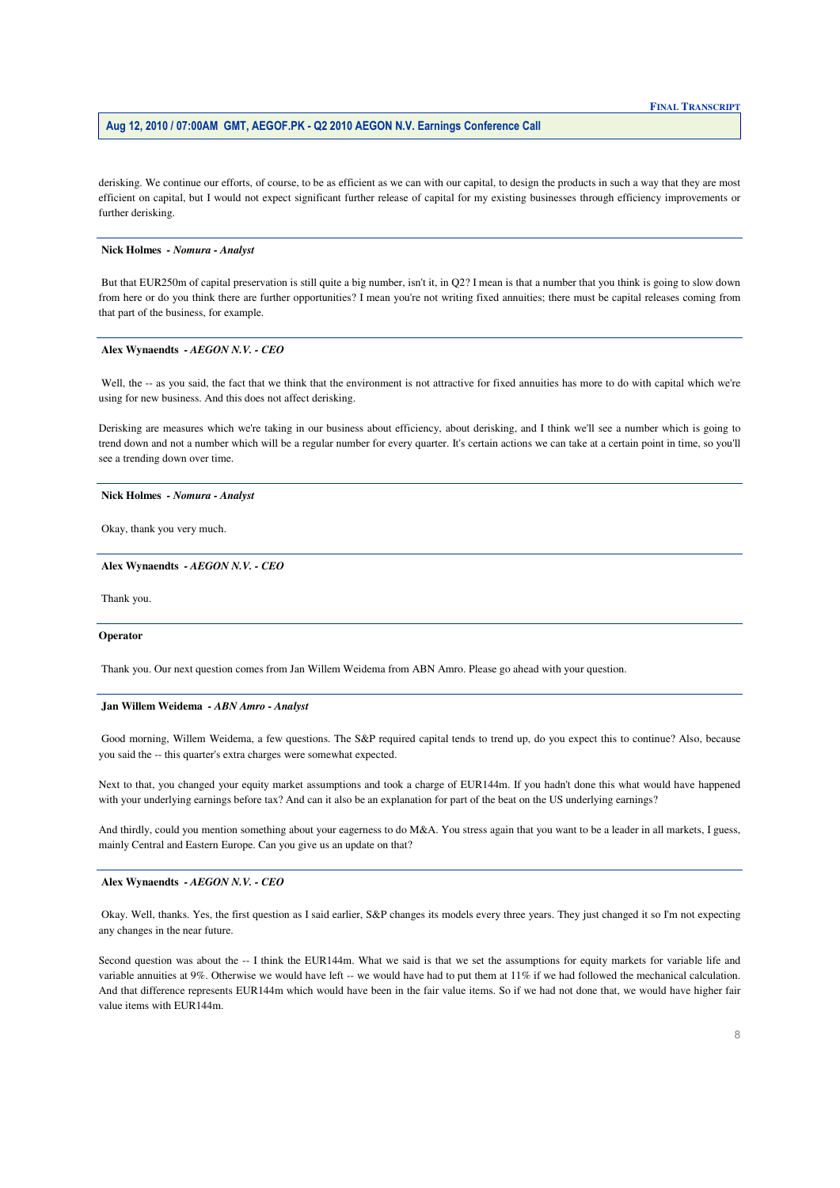derisking. We continue our efforts, of course, to be as efficient as we can with our capital, to design the products in such a way that they are most efficient on capital, but I would not expect significant further release of capital for my existing businesses through efficiency improvements or further derisking.

## **Nick Holmes** *- Nomura - Analyst*

 But that EUR250m of capital preservation is still quite a big number, isn't it, in Q2? I mean is that a number that you think is going to slow down from here or do you think there are further opportunities? I mean you're not writing fixed annuities; there must be capital releases coming from that part of the business, for example.

#### **Alex Wynaendts** *- AEGON N.V. - CEO*

Well, the -- as you said, the fact that we think that the environment is not attractive for fixed annuities has more to do with capital which we're using for new business. And this does not affect derisking.

Derisking are measures which we're taking in our business about efficiency, about derisking, and I think we'll see a number which is going to trend down and not a number which will be a regular number for every quarter. It's certain actions we can take at a certain point in time, so you'll see a trending down over time.

## **Nick Holmes** *- Nomura - Analyst*

Okay, thank you very much.

## **Alex Wynaendts** *- AEGON N.V. - CEO*

Thank you.

#### **Operator**

Thank you. Our next question comes from Jan Willem Weidema from ABN Amro. Please go ahead with your question.

#### **Jan Willem Weidema** *- ABN Amro - Analyst*

 you said the -- this quarter's extra charges were somewhat expected. Good morning, Willem Weidema, a few questions. The S&P required capital tends to trend up, do you expect this to continue? Also, because

with your underlying earnings before tax? And can it also be an explanation for part of the beat on the US underlying earnings? Next to that, you changed your equity market assumptions and took a charge of EUR144m. If you hadn't done this what would have happened

And thirdly, could you mention something about your eagerness to do M&A. You stress again that you want to be a leader in all markets, I guess, mainly Central and Eastern Europe. Can you give us an update on that?

## **Alex Wynaendts** *- AEGON N.V. - CEO*

 any changes in the near future. Okay. Well, thanks. Yes, the first question as I said earlier, S&P changes its models every three years. They just changed it so I'm not expecting

 variable annuities at 9%. Otherwise we would have left -- we would have had to put them at 11% if we had followed the mechanical calculation. Second question was about the -- I think the EUR144m. What we said is that we set the assumptions for equity markets for variable life and And that difference represents EUR144m which would have been in the fair value items. So if we had not done that, we would have higher fair value items with EUR144m.

# **FINAL TRANSCRIPT**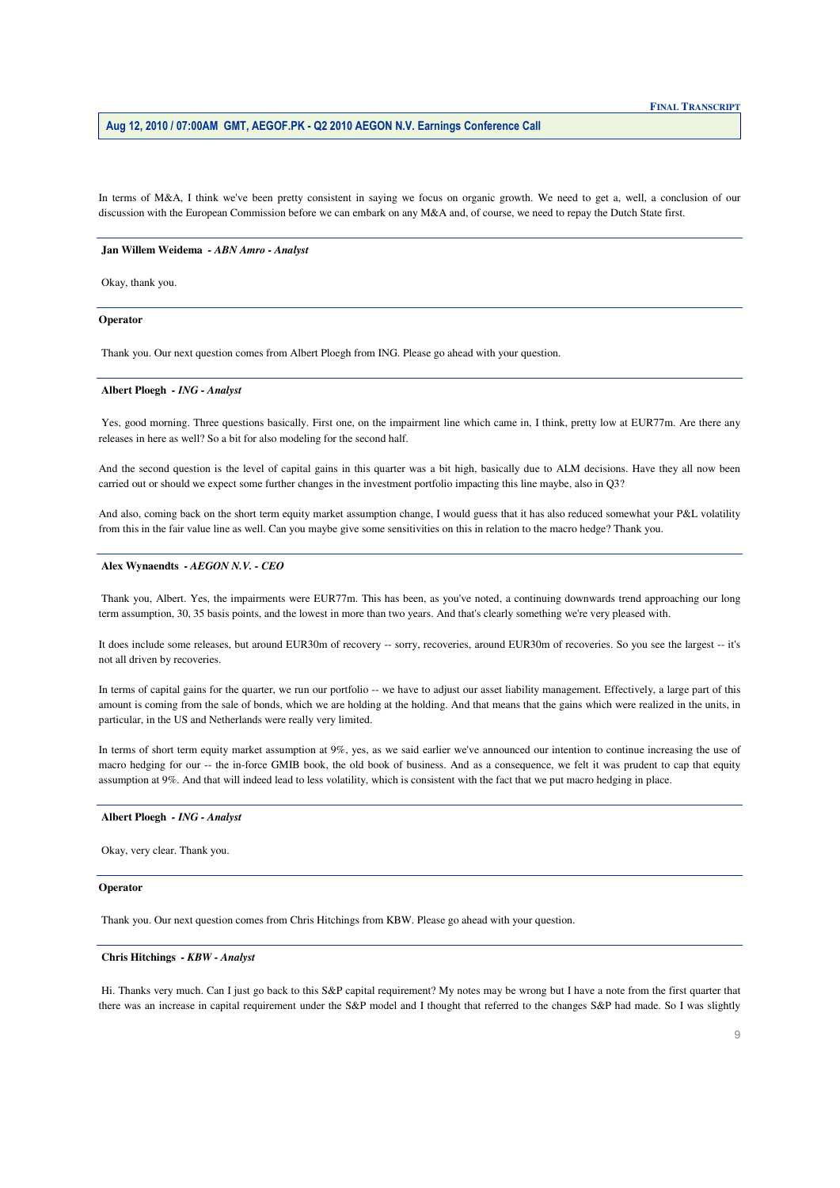discussion with the European Commission before we can embark on any M&A and, of course, we need to repay the Dutch State first. In terms of M&A, I think we've been pretty consistent in saying we focus on organic growth. We need to get a, well, a conclusion of our

#### **Jan Willem Weidema** *- ABN Amro - Analyst*

Okay, thank you.

#### **Operator**

Thank you. Our next question comes from Albert Ploegh from ING. Please go ahead with your question.

## **Albert Ploegh** *- ING - Analyst*

 Yes, good morning. Three questions basically. First one, on the impairment line which came in, I think, pretty low at EUR77m. Are there any releases in here as well? So a bit for also modeling for the second half.

 And the second question is the level of capital gains in this quarter was a bit high, basically due to ALM decisions. Have they all now been carried out or should we expect some further changes in the investment portfolio impacting this line maybe, also in Q3?

And also, coming back on the short term equity market assumption change, I would guess that it has also reduced somewhat your P&L volatility from this in the fair value line as well. Can you maybe give some sensitivities on this in relation to the macro hedge? Thank you.

# **Alex Wynaendts** *- AEGON N.V. - CEO*

 Thank you, Albert. Yes, the impairments were EUR77m. This has been, as you've noted, a continuing downwards trend approaching our long term assumption, 30, 35 basis points, and the lowest in more than two years. And that's clearly something we're very pleased with.

It does include some releases, but around EUR30m of recovery -- sorry, recoveries, around EUR30m of recoveries. So you see the largest -- it's not all driven by recoveries.

 In terms of capital gains for the quarter, we run our portfolio -- we have to adjust our asset liability management. Effectively, a large part of this amount is coming from the sale of bonds, which we are holding at the holding. And that means that the gains which were realized in the units, in particular, in the US and Netherlands were really very limited.

 In terms of short term equity market assumption at 9%, yes, as we said earlier we've announced our intention to continue increasing the use of macro hedging for our -- the in-force GMIB book, the old book of business. And as a consequence, we felt it was prudent to cap that equity assumption at 9%. And that will indeed lead to less volatility, which is consistent with the fact that we put macro hedging in place.

## **Albert Ploegh** *- ING - Analyst*

Okay, very clear. Thank you.

#### **Operator**

Thank you. Our next question comes from Chris Hitchings from KBW. Please go ahead with your question.

## **Chris Hitchings** *- KBW - Analyst*

 Hi. Thanks very much. Can I just go back to this S&P capital requirement? My notes may be wrong but I have a note from the first quarter that there was an increase in capital requirement under the S&P model and I thought that referred to the changes S&P had made. So I was slightly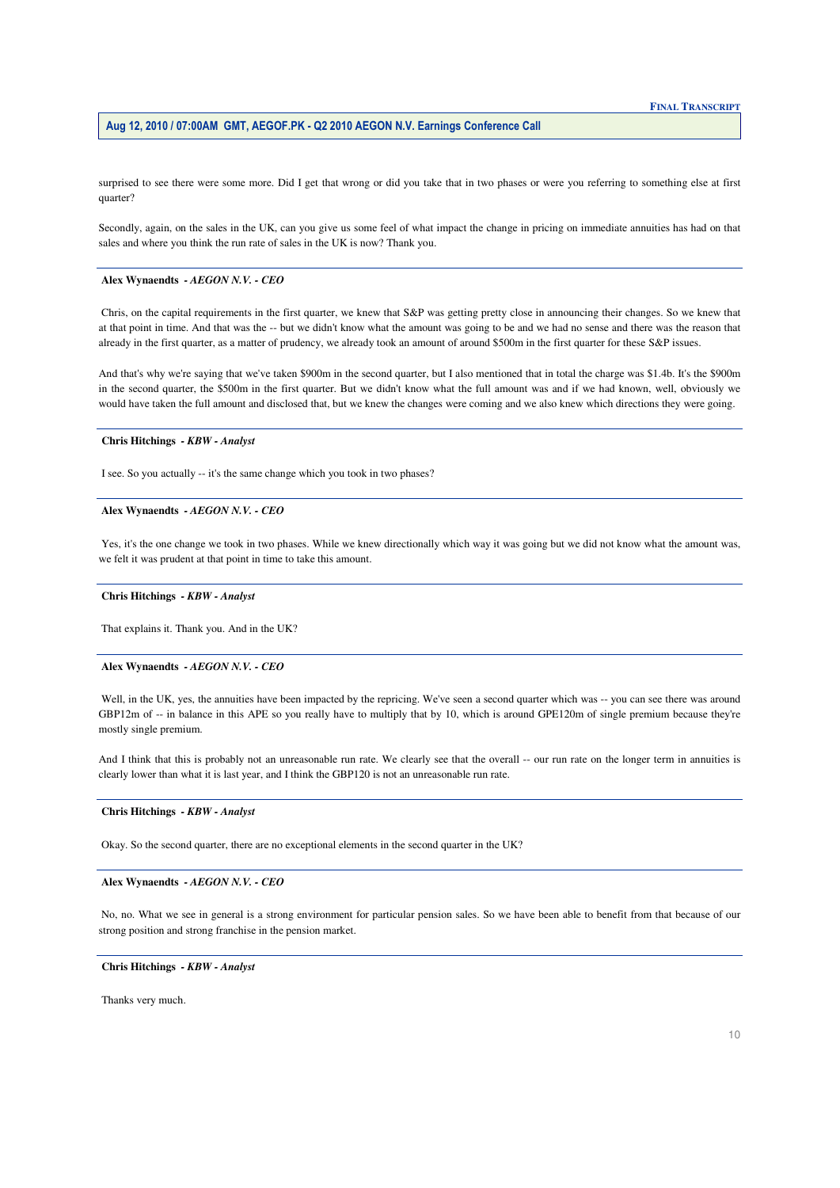surprised to see there were some more. Did I get that wrong or did you take that in two phases or were you referring to something else at first quarter?

 sales and where you think the run rate of sales in the UK is now? Thank you. Secondly, again, on the sales in the UK, can you give us some feel of what impact the change in pricing on immediate annuities has had on that

## **Alex Wynaendts** *- AEGON N.V. - CEO*

 at that point in time. And that was the -- but we didn't know what the amount was going to be and we had no sense and there was the reason that already in the first quarter, as a matter of prudency, we already took an amount of around \$500m in the first quarter for these S&P issues. Chris, on the capital requirements in the first quarter, we knew that S&P was getting pretty close in announcing their changes. So we knew that

 in the second quarter, the \$500m in the first quarter. But we didn't know what the full amount was and if we had known, well, obviously we would have taken the full amount and disclosed that, but we knew the changes were coming and we also knew which directions they were going. And that's why we're saying that we've taken \$900m in the second quarter, but I also mentioned that in total the charge was \$1.4b. It's the \$900m

### **Chris Hitchings** *- KBW - Analyst*

I see. So you actually -- it's the same change which you took in two phases?

## **Alex Wynaendts** *- AEGON N.V. - CEO*

 we felt it was prudent at that point in time to take this amount. Yes, it's the one change we took in two phases. While we knew directionally which way it was going but we did not know what the amount was,

## **Chris Hitchings** *- KBW - Analyst*

That explains it. Thank you. And in the UK?

## **Alex Wynaendts** *- AEGON N.V. - CEO*

GBP12m of -- in balance in this APE so you really have to multiply that by 10, which is around GPE120m of single premium because they're Well, in the UK, yes, the annuities have been impacted by the repricing. We've seen a second quarter which was -- you can see there was around mostly single premium.

 clearly lower than what it is last year, and I think the GBP120 is not an unreasonable run rate. And I think that this is probably not an unreasonable run rate. We clearly see that the overall -- our run rate on the longer term in annuities is

#### **Chris Hitchings** *- KBW - Analyst*

Okay. So the second quarter, there are no exceptional elements in the second quarter in the UK?

## **Alex Wynaendts** *- AEGON N.V. - CEO*

No, no. What we see in general is a strong environment for particular pension sales. So we have been able to benefit from that because of our strong position and strong franchise in the pension market.

## **Chris Hitchings** *- KBW - Analyst*

Thanks very much.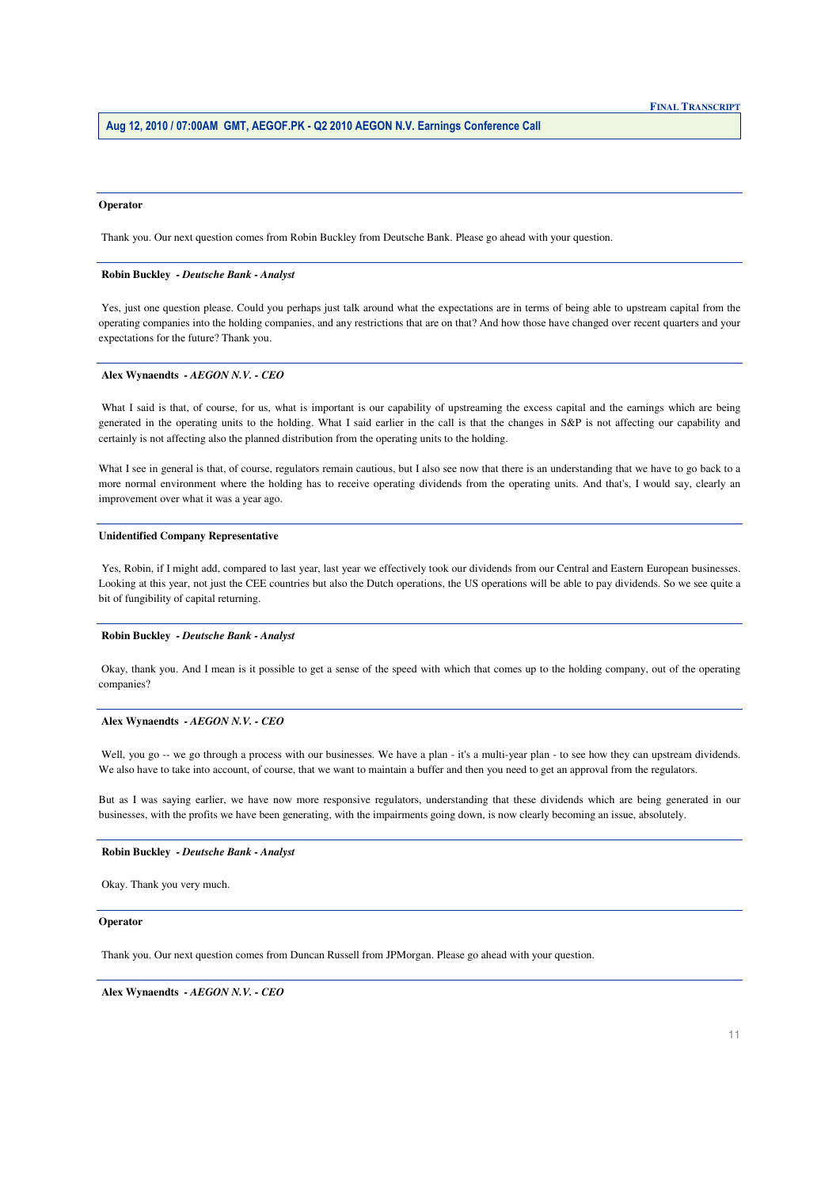## **Operator**

Thank you. Our next question comes from Robin Buckley from Deutsche Bank. Please go ahead with your question.

#### **Robin Buckley** *- Deutsche Bank - Analyst*

Yes, just one question please. Could you perhaps just talk around what the expectations are in terms of being able to upstream capital from the operating companies into the holding companies, and any restrictions that are on that? And how those have changed over recent quarters and your expectations for the future? Thank you.

#### **Alex Wynaendts** *- AEGON N.V. - CEO*

 What I said is that, of course, for us, what is important is our capability of upstreaming the excess capital and the earnings which are being generated in the operating units to the holding. What I said earlier in the call is that the changes in S&P is not affecting our capability and certainly is not affecting also the planned distribution from the operating units to the holding.

 What I see in general is that, of course, regulators remain cautious, but I also see now that there is an understanding that we have to go back to a more normal environment where the holding has to receive operating dividends from the operating units. And that's, I would say, clearly an improvement over what it was a year ago.

#### **Unidentified Company Representative**

 Yes, Robin, if I might add, compared to last year, last year we effectively took our dividends from our Central and Eastern European businesses. Looking at this year, not just the CEE countries but also the Dutch operations, the US operations will be able to pay dividends. So we see quite a bit of fungibility of capital returning.

#### **Robin Buckley** *- Deutsche Bank - Analyst*

Okay, thank you. And I mean is it possible to get a sense of the speed with which that comes up to the holding company, out of the operating companies?

## **Alex Wynaendts** *- AEGON N.V. - CEO*

Well, you go -- we go through a process with our businesses. We have a plan - it's a multi-year plan - to see how they can upstream dividends. We also have to take into account, of course, that we want to maintain a buffer and then you need to get an approval from the regulators.

 But as I was saying earlier, we have now more responsive regulators, understanding that these dividends which are being generated in our businesses, with the profits we have been generating, with the impairments going down, is now clearly becoming an issue, absolutely.

#### **Robin Buckley** *- Deutsche Bank - Analyst*

Okay. Thank you very much.

## **Operator**

Thank you. Our next question comes from Duncan Russell from JPMorgan. Please go ahead with your question.

  **Alex Wynaendts** *- AEGON N.V. - CEO*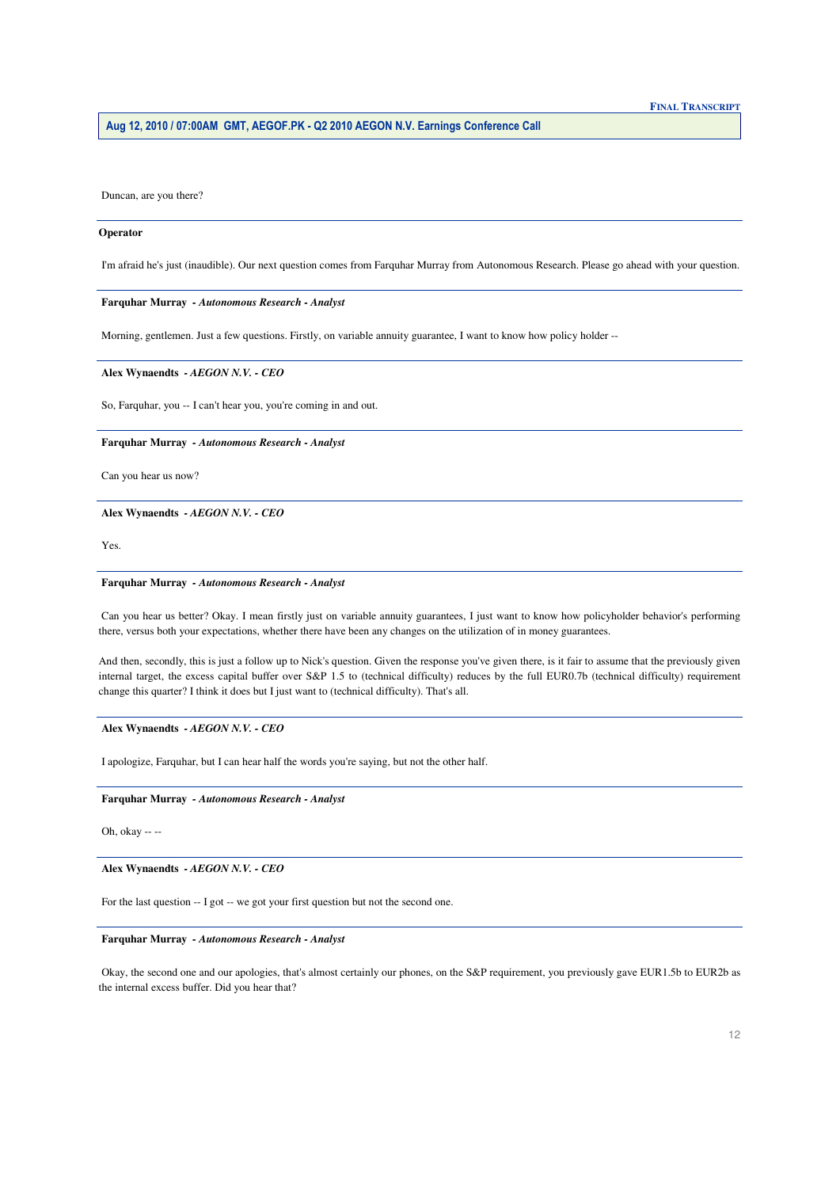Duncan, are you there?

## Operator

I'm afraid he's just (inaudible). Our next question comes from Farquhar Murray from Autonomous Research. Please go ahead with your question.

# Farquhar Murray - Autonomous Research - Analyst

Morning, gentlemen. Just a few questions. Firstly, on variable annuity guarantee, I want to know how policy holder --

# Alex Wynaendts - AEGON N.V. - CEO

So, Farquhar, you -- I can't hear you, you're coming in and out.

# Farquhar Murray - Autonomous Research - Analyst

Can you hear us now?

Alex Wynaendts - AEGON N.V. - CEO

Yes.

# Farquhar Murray - Autonomous Research - Analyst

Can you hear us better? Okay. I mean firstly just on variable annuity guarantees, I just want to know how policyholder behavior's performing there, versus both your expectations, whether there have been any changes on the utilization of in money guarantees.

And then, secondly, this is just a follow up to Nick's question. Given the response you've given there, is it fair to assume that the previously given internal target, the excess capital buffer over S&P 1.5 to (technical difficulty) reduces by the full EUR0.7b (technical difficulty) requirement change this quarter? I think it does but I just want to (technical difficulty). That's all.

# Alex Wynaendts - AEGON N.V. - CEO

I apologize, Farquhar, but I can hear half the words you're saying, but not the other half.

# Farquhar Murray - Autonomous Research - Analyst

Oh, okay  $--$ 

# Alex Wynaendts - AEGON N.V. - CEO

For the last question -- I got -- we got your first question but not the second one.

# Farquhar Murray - Autonomous Research - Analyst

Okay, the second one and our apologies, that's almost certainly our phones, on the S&P requirement, you previously gave EUR1.5b to EUR2b as the internal excess buffer. Did you hear that?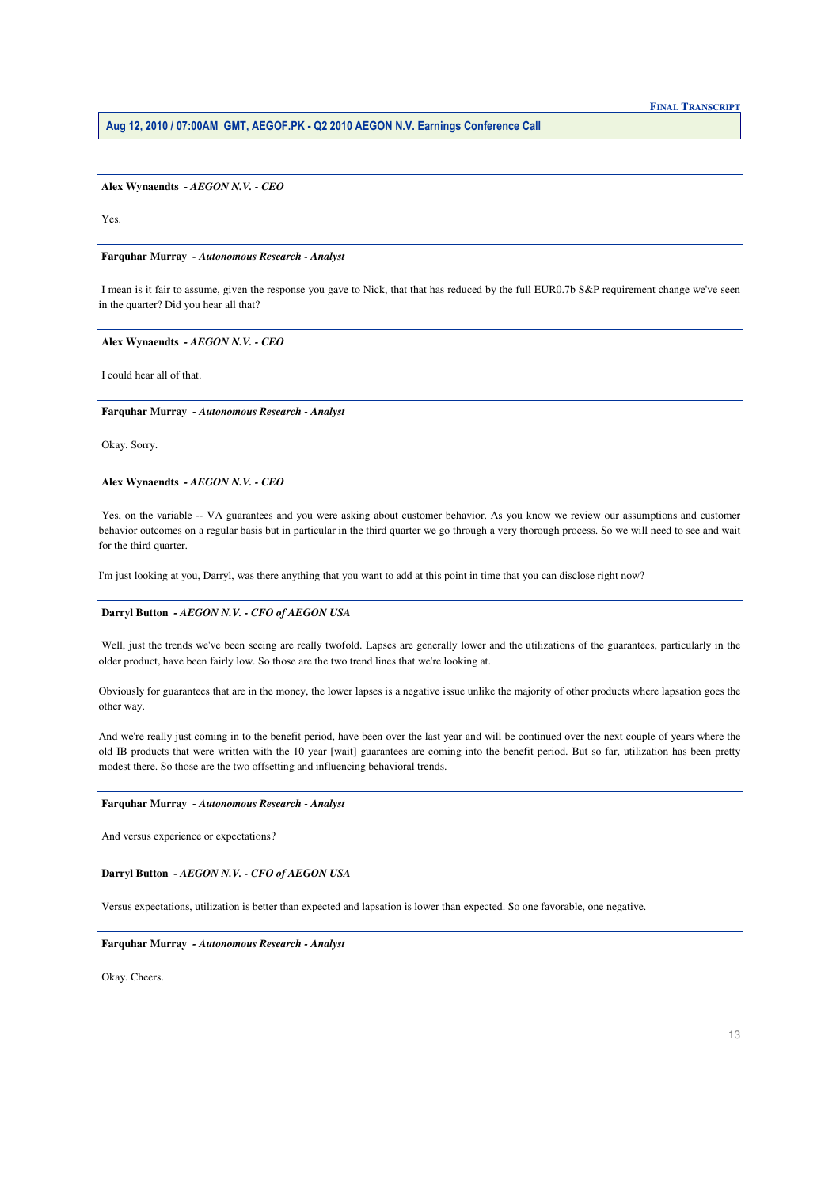Alex Wynaendts - AEGON N.V. - CEO

Yes

Farquhar Murray - Autonomous Research - Analyst

I mean is it fair to assume, given the response you gave to Nick, that that has reduced by the full EUR0.7b S&P requirement change we've seen in the quarter? Did you hear all that?

Alex Wynaendts - AEGON N.V. - CEO

I could hear all of that.

Farquhar Murray - Autonomous Research - Analyst

Okay. Sorry.

Alex Wynaendts - AEGON N.V. - CEO

Yes, on the variable -- VA guarantees and you were asking about customer behavior. As you know we review our assumptions and customer behavior outcomes on a regular basis but in particular in the third quarter we go through a very thorough process. So we will need to see and wait for the third quarter.

I'm just looking at you, Darryl, was there anything that you want to add at this point in time that you can disclose right now?

# Darryl Button - AEGON N.V. - CFO of AEGON USA

Well, just the trends we've been seeing are really twofold. Lapses are generally lower and the utilizations of the guarantees, particularly in the older product, have been fairly low. So those are the two trend lines that we're looking at.

Obviously for guarantees that are in the money, the lower lapses is a negative issue unlike the majority of other products where lapsation goes the other way.

And we're really just coming in to the benefit period, have been over the last year and will be continued over the next couple of years where the old IB products that were written with the 10 year [wait] guarantees are coming into the benefit period. But so far, utilization has been pretty modest there. So those are the two offsetting and influencing behavioral trends.

# Farquhar Murray - Autonomous Research - Analyst

And versus experience or expectations?

Darryl Button - AEGON N.V. - CFO of AEGON USA

Versus expectations, utilization is better than expected and lapsation is lower than expected. So one favorable, one negative.

## Farquhar Murray - Autonomous Research - Analyst

Okay. Cheers.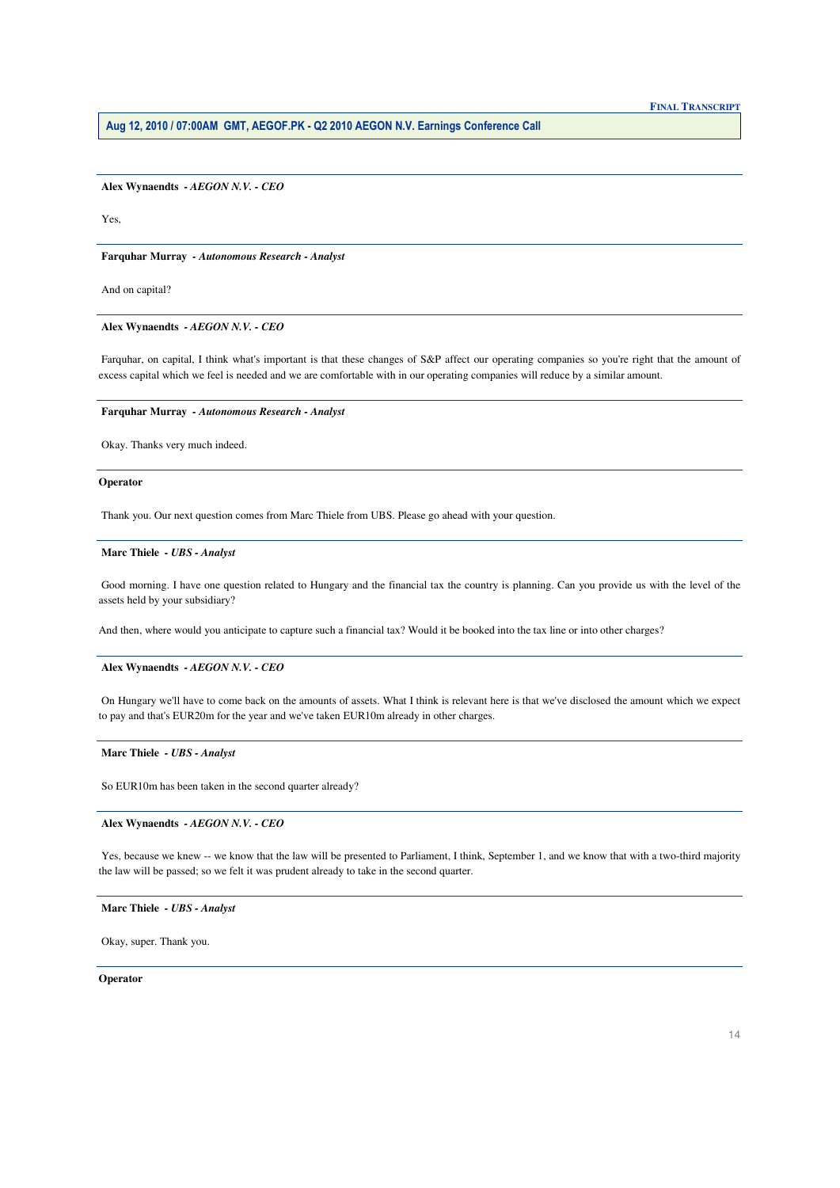Alex Wynaendts - AEGON N.V. - CEO

Yes

Farquhar Murray - Autonomous Research - Analyst

And on capital?

Alex Wynaendts - AEGON N.V. - CEO

Farquhar, on capital, I think what's important is that these changes of S&P affect our operating companies so you're right that the amount of excess capital which we feel is needed and we are comfortable with in our operating companies will reduce by a similar amount.

Farquhar Murray - Autonomous Research - Analyst

Okay. Thanks very much indeed.

## Operator

Thank you. Our next question comes from Marc Thiele from UBS. Please go ahead with your question.

# Marc Thiele - UBS - Analyst

Good morning. I have one question related to Hungary and the financial tax the country is planning. Can you provide us with the level of the assets held by your subsidiary?

And then, where would you anticipate to capture such a financial tax? Would it be booked into the tax line or into other charges?

# Alex Wynaendts - AEGON N.V. - CEO

On Hungary we'll have to come back on the amounts of assets. What I think is relevant here is that we've disclosed the amount which we expect to pay and that's EUR20m for the year and we've taken EUR10m already in other charges.

# Marc Thiele - UBS - Analyst

So EUR10m has been taken in the second quarter already?

# Alex Wynaendts - AEGON N.V. - CEO

Yes, because we knew -- we know that the law will be presented to Parliament, I think, September 1, and we know that with a two-third majority the law will be passed; so we felt it was prudent already to take in the second quarter.

# Marc Thiele - UBS - Analyst

Okay, super. Thank you.

Operator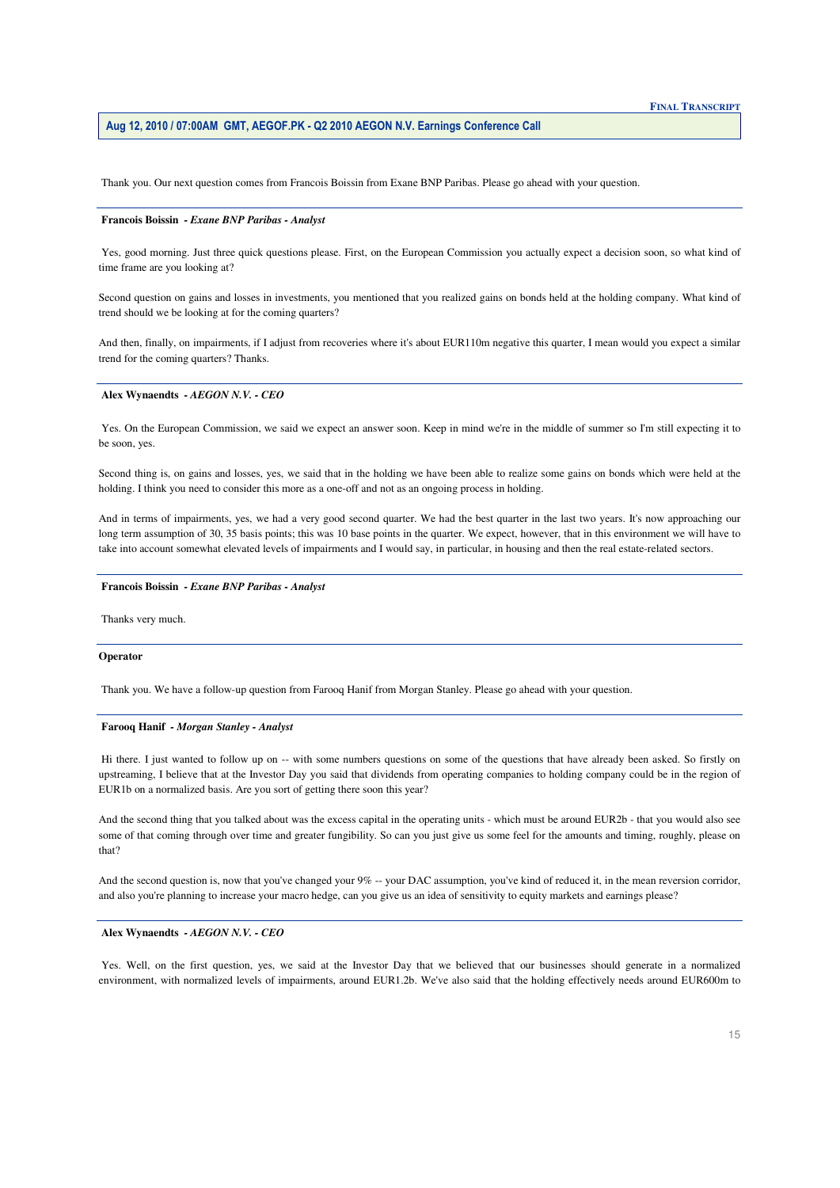Thank you. Our next question comes from Francois Boissin from Exane BNP Paribas. Please go ahead with your question.

#### **Francois Boissin** *- Exane BNP Paribas - Analyst*

 Yes, good morning. Just three quick questions please. First, on the European Commission you actually expect a decision soon, so what kind of time frame are you looking at?

 Second question on gains and losses in investments, you mentioned that you realized gains on bonds held at the holding company. What kind of trend should we be looking at for the coming quarters?

And then, finally, on impairments, if I adjust from recoveries where it's about EUR110m negative this quarter, I mean would you expect a similar trend for the coming quarters? Thanks.

### **Alex Wynaendts** *- AEGON N.V. - CEO*

Yes. On the European Commission, we said we expect an answer soon. Keep in mind we're in the middle of summer so I'm still expecting it to be soon, yes.

Second thing is, on gains and losses, yes, we said that in the holding we have been able to realize some gains on bonds which were held at the holding. I think you need to consider this more as a one-off and not as an ongoing process in holding.

 And in terms of impairments, yes, we had a very good second quarter. We had the best quarter in the last two years. It's now approaching our long term assumption of 30, 35 basis points; this was 10 base points in the quarter. We expect, however, that in this environment we will have to take into account somewhat elevated levels of impairments and I would say, in particular, in housing and then the real estate-related sectors.

### **Francois Boissin** *- Exane BNP Paribas - Analyst*

Thanks very much.

## **Operator**

Thank you. We have a follow-up question from Farooq Hanif from Morgan Stanley. Please go ahead with your question.

## **Farooq Hanif** *- Morgan Stanley - Analyst*

 Hi there. I just wanted to follow up on -- with some numbers questions on some of the questions that have already been asked. So firstly on upstreaming, I believe that at the Investor Day you said that dividends from operating companies to holding company could be in the region of EUR1b on a normalized basis. Are you sort of getting there soon this year?

 And the second thing that you talked about was the excess capital in the operating units - which must be around EUR2b - that you would also see some of that coming through over time and greater fungibility. So can you just give us some feel for the amounts and timing, roughly, please on that?

And the second question is, now that you've changed your 9% -- your DAC assumption, you've kind of reduced it, in the mean reversion corridor, and also you're planning to increase your macro hedge, can you give us an idea of sensitivity to equity markets and earnings please?

#### **Alex Wynaendts** *- AEGON N.V. - CEO*

Yes. Well, on the first question, yes, we said at the Investor Day that we believed that our businesses should generate in a normalized environment, with normalized levels of impairments, around EUR1.2b. We've also said that the holding effectively needs around EUR600m to

# **FINAL TRANSCRIPT**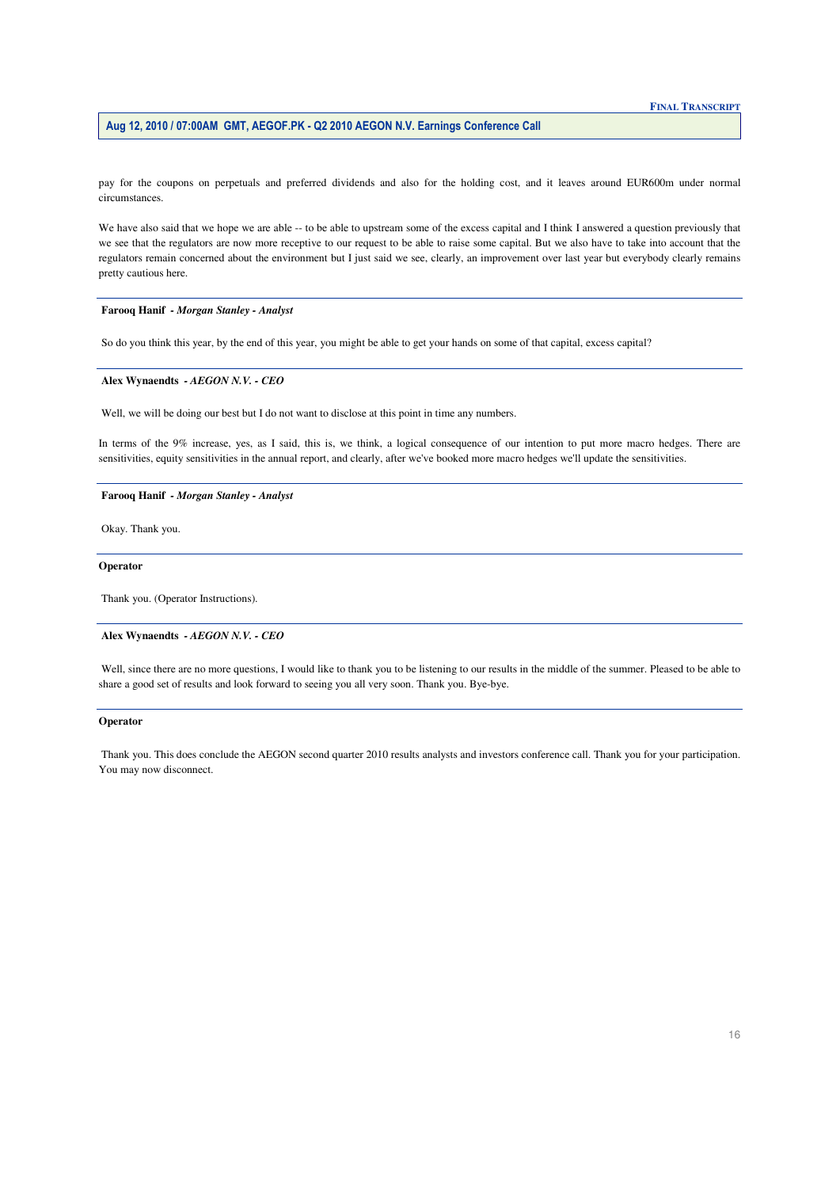pay for the coupons on perpetuals and preferred dividends and also for the holding cost, and it leaves around EUR600m under normal circumstances.

We have also said that we hope we are able -- to be able to upstream some of the excess capital and I think I answered a question previously that we see that the regulators are now more receptive to our request to be able to raise some capital. But we also have to take into account that the regulators remain concerned about the environment but I just said we see, clearly, an improvement over last year but everybody clearly remains pretty cautious here.

# Farooq Hanif - Morgan Stanley - Analyst

So do you think this year, by the end of this year, you might be able to get your hands on some of that capital, excess capital?

# Alex Wynaendts - AEGON N.V. - CEO

Well, we will be doing our best but I do not want to disclose at this point in time any numbers.

In terms of the 9% increase, yes, as I said, this is, we think, a logical consequence of our intention to put more macro hedges. There are sensitivities, equity sensitivities in the annual report, and clearly, after we've booked more macro hedges we'll update the sensitivities.

# Farooq Hanif - Morgan Stanley - Analyst

Okay. Thank you.

# Operator

Thank you. (Operator Instructions).

# Alex Wynaendts - AEGON N.V. - CEO

Well, since there are no more questions, I would like to thank you to be listening to our results in the middle of the summer. Pleased to be able to share a good set of results and look forward to seeing you all very soon. Thank you. Bye-bye.

# **Operator**

Thank you. This does conclude the AEGON second quarter 2010 results analysts and investors conference call. Thank you for your participation. You may now disconnect.